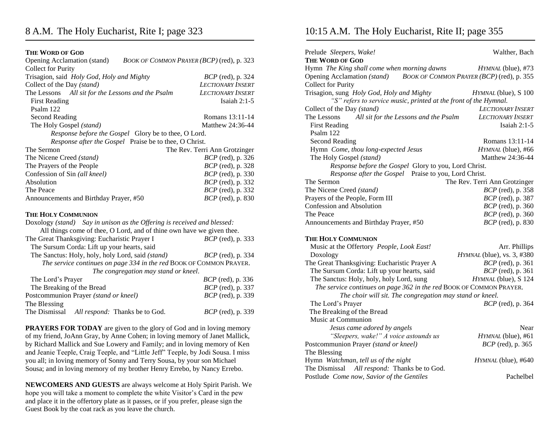## **THE WORD OF GOD**

| Opening Acclamation (stand)<br>BOOK OF COMMON PRAYER (BCP) (red), p. 323 |                               |  |  |
|--------------------------------------------------------------------------|-------------------------------|--|--|
| <b>Collect for Purity</b>                                                |                               |  |  |
| Trisagion, said Holy God, Holy and Mighty                                | <i>BCP</i> (red), p. 324      |  |  |
| Collect of the Day (stand)                                               | <b>LECTIONARY INSERT</b>      |  |  |
| The Lessons All sit for the Lessons and the Psalm                        | <b>LECTIONARY INSERT</b>      |  |  |
| <b>First Reading</b>                                                     | Isaiah $2:1-5$                |  |  |
| Psalm 122                                                                |                               |  |  |
| <b>Second Reading</b>                                                    | Romans 13:11-14               |  |  |
| The Holy Gospel (stand)                                                  | Matthew 24:36-44              |  |  |
| Response before the Gospel Glory be to thee, O Lord.                     |                               |  |  |
| Response after the Gospel Praise be to thee, O Christ.                   |                               |  |  |
| The Sermon                                                               | The Rev. Terri Ann Grotzinger |  |  |
| The Nicene Creed (stand)                                                 | BCP (red), p. 326             |  |  |
| The Prayers of the People                                                | <i>BCP</i> (red), p. 328      |  |  |
| Confession of Sin (all kneel)                                            | <i>BCP</i> (red), p. 330      |  |  |
| Absolution                                                               | <i>BCP</i> (red), p. 332      |  |  |
| The Peace                                                                | BCP (red), p. 332             |  |  |
| Announcements and Birthday Prayer, #50                                   | <i>BCP</i> (red), p. 830      |  |  |
| <b>THE HOLY COMMUNION</b>                                                |                               |  |  |
| Doxology (stand) Say in unison as the Offering is received and blessed:  |                               |  |  |
| All things come of thee, O Lord, and of thine own have we given thee.    |                               |  |  |
| The Great Thanksgiving: Eucharistic Prayer I                             | <i>BCP</i> (red), p. 333      |  |  |
| The Sursum Corda: Lift up your hearts, said                              |                               |  |  |
| The Sanctus: Holy, holy, holy Lord, said (stand)                         | <i>BCP</i> (red), p. 334      |  |  |
| The service continues on page 334 in the red BOOK OF COMMON PRAYER.      |                               |  |  |
| The congregation may stand or kneel.                                     |                               |  |  |
| The Lord's Prayer                                                        | <i>BCP</i> (red), p. 336      |  |  |
| The Breaking of the Bread                                                | <i>BCP</i> (red), p. 337      |  |  |
| Postcommunion Prayer (stand or kneel)                                    | <i>BCP</i> (red), p. 339      |  |  |
| The Blessing                                                             |                               |  |  |
| The Dismissal<br>All respond: Thanks be to God.                          | <i>BCP</i> (red), p. 339      |  |  |

**PRAYERS FOR TODAY** are given to the glory of God and in loving memory of my friend, JoAnn Gray, by Anne Cohen; in loving memory of Janet Mallick, by Richard Mallick and Sue Lowery and Family; and in loving memory of Ken and Jeanie Teeple, Craig Teeple, and "Little Jeff" Teeple, by Jodi Sousa. I miss you all; in loving memory of Sonny and Terry Sousa, by your son Michael Sousa; and in loving memory of my brother Henry Errebo, by Nancy Errebo.

**NEWCOMERS AND GUESTS** are always welcome at Holy Spirit Parish. We hope you will take a moment to complete the white Visitor's Card in the pew and place it in the offertory plate as it passes, or if you prefer, please sign the Guest Book by the coat rack as you leave the church.

## 10:15 A.M. The Holy Eucharist, Rite II; page 355

| Prelude Sleepers, Wake!                                             | Walther, Bach                             |
|---------------------------------------------------------------------|-------------------------------------------|
| <b>THE WORD OF GOD</b>                                              |                                           |
| Hymn The King shall come when morning dawns                         | HYMNAL (blue), #73                        |
| Opening Acclamation (stand)                                         | BOOK OF COMMON PRAYER (BCP) (red), p. 355 |
| <b>Collect for Purity</b>                                           |                                           |
| Trisagion, sung Holy God, Holy and Mighty                           | HYMNAL (blue), S 100                      |
| "S" refers to service music, printed at the front of the Hymnal.    |                                           |
| Collect of the Day (stand)                                          | LECTIONARY INSERT                         |
| The Lessons<br>All sit for the Lessons and the Psalm                | <b>LECTIONARY INSERT</b>                  |
| <b>First Reading</b>                                                | Isaiah $2:1-5$                            |
| Psalm 122                                                           |                                           |
| <b>Second Reading</b>                                               | Romans 13:11-14                           |
| Hymn Come, thou long-expected Jesus                                 | HYMNAL (blue), #66                        |
| The Holy Gospel (stand)                                             | Matthew 24:36-44                          |
| Response before the Gospel Glory to you, Lord Christ.               |                                           |
| Response after the Gospel Praise to you, Lord Christ.               |                                           |
| The Sermon                                                          | The Rev. Terri Ann Grotzinger             |
| The Nicene Creed (stand)                                            | <i>BCP</i> (red), p. 358                  |
| Prayers of the People, Form III                                     | <i>BCP</i> (red), p. 387                  |
| <b>Confession and Absolution</b>                                    | <i>BCP</i> (red), p. 360                  |
| The Peace                                                           | <i>BCP</i> (red), p. 360                  |
| Announcements and Birthday Prayer, #50                              | <i>BCP</i> (red), p. 830                  |
| <b>THE HOLY COMMUNION</b>                                           |                                           |
| Music at the Offertory People, Look East!                           | Arr. Phillips                             |
| Doxology                                                            | HYMNAL (blue), vs. 3, #380                |
| The Great Thanksgiving: Eucharistic Prayer A                        | $BCP$ (red), p. 361                       |
| The Sursum Corda: Lift up your hearts, said                         | <i>BCP</i> (red), p. 361                  |
| The Sanctus: Holy, holy, holy Lord, sung                            | HYMNAL (blue), S 124                      |
| The service continues on page 362 in the red BOOK OF COMMON PRAYER. |                                           |
| The choir will sit. The congregation may stand or kneel.            |                                           |
| The Lord's Prayer                                                   | <i>BCP</i> (red), p. 364                  |
| The Breaking of the Bread                                           |                                           |
| Music at Communion                                                  |                                           |
| Jesus came adored by angels                                         | Near                                      |
| "Sleepers, wake!" A voice astounds us                               | HYMNAL (blue), #61                        |
| Postcommunion Prayer (stand or kneel)                               | <i>BCP</i> (red), p. 365                  |
| The Blessing                                                        |                                           |
| Hymn Watchman, tell us of the night                                 | HYMNAL (blue), #640                       |
| The Dismissal All respond: Thanks be to God.                        |                                           |
| Postlude Come now, Savior of the Gentiles                           | Pachelbel                                 |